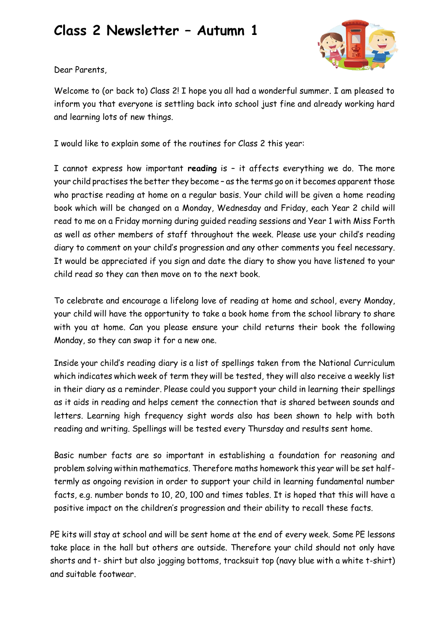## **Class 2 Newsletter – Autumn 1**



Dear Parents,

Welcome to (or back to) Class 2! I hope you all had a wonderful summer. I am pleased to inform you that everyone is settling back into school just fine and already working hard and learning lots of new things.

I would like to explain some of the routines for Class 2 this year:

I cannot express how important **reading** is – it affects everything we do. The more your child practises the better they become – as the terms go on it becomes apparent those who practise reading at home on a regular basis. Your child will be given a home reading book which will be changed on a Monday, Wednesday and Friday, each Year 2 child will read to me on a Friday morning during guided reading sessions and Year 1 with Miss Forth as well as other members of staff throughout the week. Please use your child's reading diary to comment on your child's progression and any other comments you feel necessary. It would be appreciated if you sign and date the diary to show you have listened to your child read so they can then move on to the next book.

To celebrate and encourage a lifelong love of reading at home and school, every Monday, your child will have the opportunity to take a book home from the school library to share with you at home. Can you please ensure your child returns their book the following Monday, so they can swap it for a new one.

Inside your child's reading diary is a list of spellings taken from the National Curriculum which indicates which week of term they will be tested, they will also receive a weekly list in their diary as a reminder. Please could you support your child in learning their spellings as it aids in reading and helps cement the connection that is shared between sounds and letters. Learning high frequency sight words also has been shown to help with both reading and writing. Spellings will be tested every Thursday and results sent home.

Basic number facts are so important in establishing a foundation for reasoning and problem solving within mathematics. Therefore maths homework this year will be set halftermly as ongoing revision in order to support your child in learning fundamental number facts, e.g. number bonds to 10, 20, 100 and times tables. It is hoped that this will have a positive impact on the children's progression and their ability to recall these facts.

PE kits will stay at school and will be sent home at the end of every week. Some PE lessons take place in the hall but others are outside. Therefore your child should not only have shorts and t- shirt but also jogging bottoms, tracksuit top (navy blue with a white t-shirt) and suitable footwear.